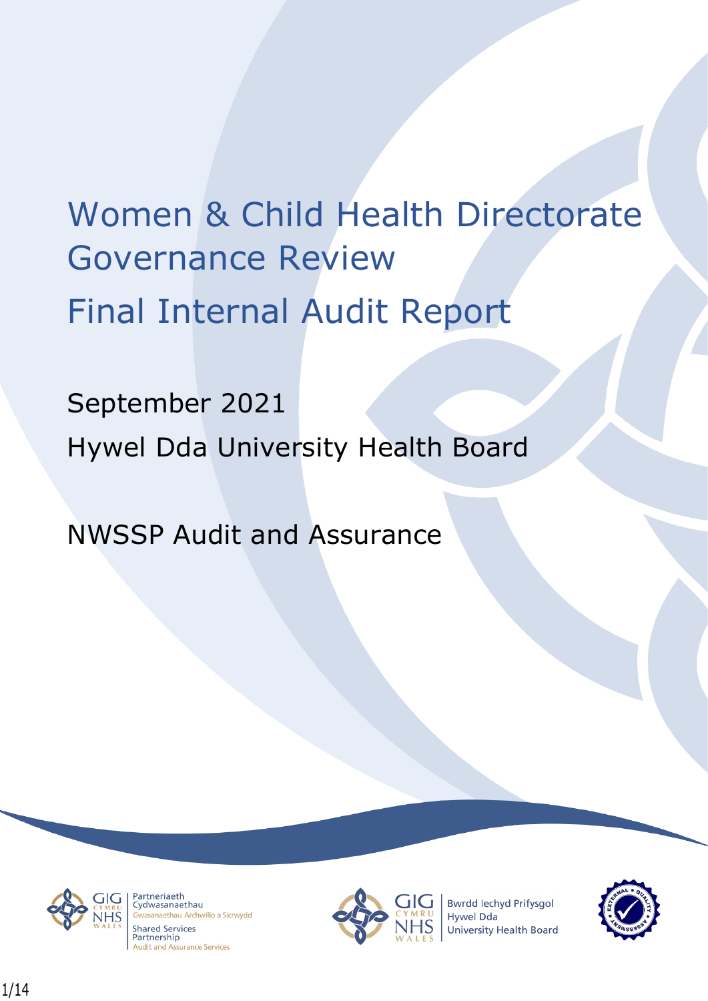# Women & Child Health Directorate Governance Review Final Internal Audit Report

September 2021 Hywel Dda University Health Board

NWSSP Audit and Assurance



Partneriaeth rartheriaeth<br>Cydwasanaethau anaethau Archwilio a Sicrwydd **Shared Services** Partnership **Audit and Assurance Services** 



**Bwrdd lechyd Prifysgol Hywel Dda** University Health Board

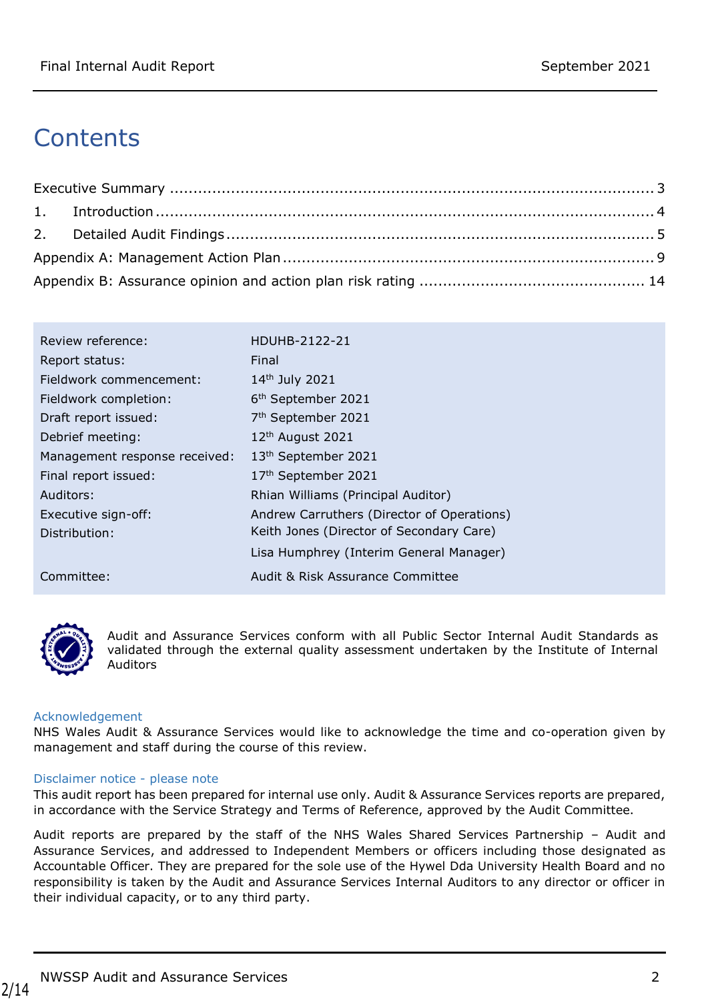## **Contents**

| Review reference:             | HDUHB-2122-21                              |
|-------------------------------|--------------------------------------------|
| Report status:                | Final                                      |
| Fieldwork commencement:       | 14th July 2021                             |
| Fieldwork completion:         | 6 <sup>th</sup> September 2021             |
| Draft report issued:          | 7 <sup>th</sup> September 2021             |
| Debrief meeting:              | 12 <sup>th</sup> August 2021               |
| Management response received: | 13 <sup>th</sup> September 2021            |
| Final report issued:          | 17th September 2021                        |
| Auditors:                     | Rhian Williams (Principal Auditor)         |
| Executive sign-off:           | Andrew Carruthers (Director of Operations) |
| Distribution:                 | Keith Jones (Director of Secondary Care)   |
|                               | Lisa Humphrey (Interim General Manager)    |
| Committee:                    | Audit & Risk Assurance Committee           |



Audit and Assurance Services conform with all Public Sector Internal Audit Standards as validated through the external quality assessment undertaken by the Institute of Internal Auditors

#### Acknowledgement

NHS Wales Audit & Assurance Services would like to acknowledge the time and co-operation given by management and staff during the course of this review.

#### Disclaimer notice - please note

This audit report has been prepared for internal use only. Audit & Assurance Services reports are prepared, in accordance with the Service Strategy and Terms of Reference, approved by the Audit Committee.

Audit reports are prepared by the staff of the NHS Wales Shared Services Partnership – Audit and Assurance Services, and addressed to Independent Members or officers including those designated as Accountable Officer. They are prepared for the sole use of the Hywel Dda University Health Board and no responsibility is taken by the Audit and Assurance Services Internal Auditors to any director or officer in their individual capacity, or to any third party.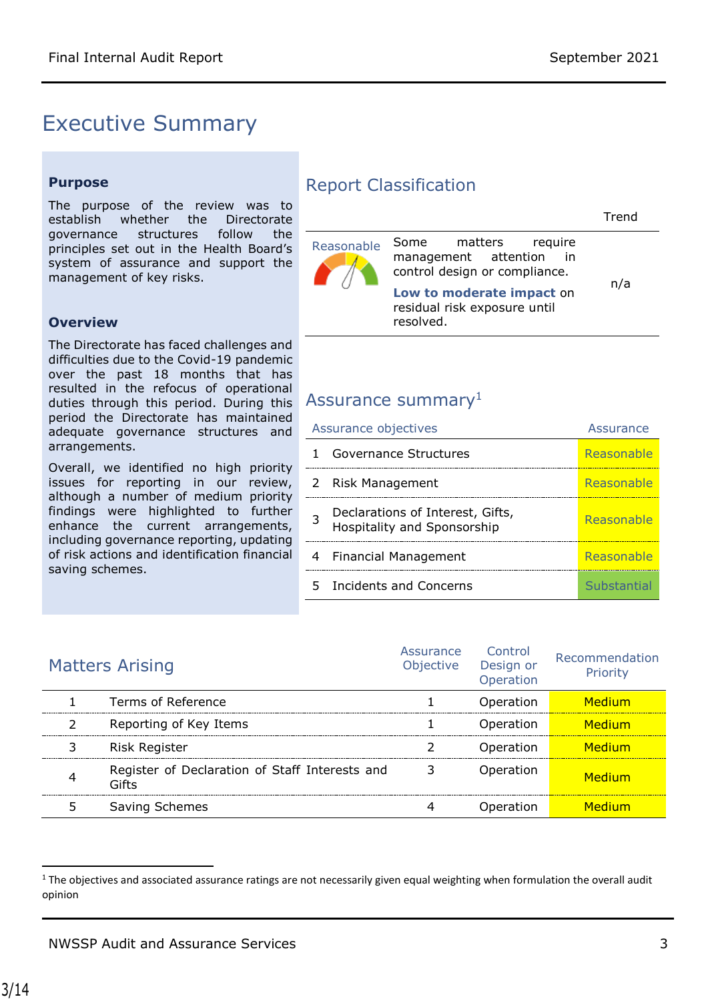### <span id="page-2-0"></span>Executive Summary

#### **Purpose**

The purpose of the review was to establish whether the Directorate governance structures follow the principles set out in the Health Board's system of assurance and support the management of key risks.

#### **Overview**

The Directorate has faced challenges and difficulties due to the Covid-19 pandemic over the past 18 months that has resulted in the refocus of operational duties through this period. During this ASSUrance summary<sup>1</sup> period the Directorate has maintained adequate governance structures and arrangements.

Overall, we identified no high priority issues for reporting in our review, although a number of medium priority findings were highlighted to further enhance the current arrangements, including governance reporting, updating of risk actions and identification financial saving schemes.

#### Report Classification

| Reasonable | Some matters require<br>management attention in<br>control design or compliance.<br>Low to moderate impact on<br>residual risk exposure until<br>resolved. | n/a |
|------------|------------------------------------------------------------------------------------------------------------------------------------------------------------|-----|

| Assurance objectives |                                                                 | Assurance   |
|----------------------|-----------------------------------------------------------------|-------------|
|                      | Governance Structures                                           | Reasonable  |
|                      | 2 Risk Management                                               | Reasonable  |
| 3                    | Declarations of Interest, Gifts,<br>Hospitality and Sponsorship | Reasonable  |
| 4                    | Financial Management                                            | Reasonable  |
|                      | 5 Incidents and Concerns                                        | Substantial |

| <b>Matters Arising</b>                                  | Assurance<br>Objective | Control<br>Design or<br>Operation | Recommendation<br>Priority |
|---------------------------------------------------------|------------------------|-----------------------------------|----------------------------|
| Terms of Reference                                      |                        | Operation                         | Medium                     |
| Reporting of Key Items                                  |                        | Operation                         | Medium                     |
| <b>Risk Register</b>                                    |                        | Operation                         | Medium                     |
| Register of Declaration of Staff Interests and<br>Gifts |                        | Operation                         | Medium                     |
| Saving Schemes                                          |                        | Operation                         | Medium                     |

 $\overline{\phantom{a}}$ 

 $1$  The objectives and associated assurance ratings are not necessarily given equal weighting when formulation the overall audit opinion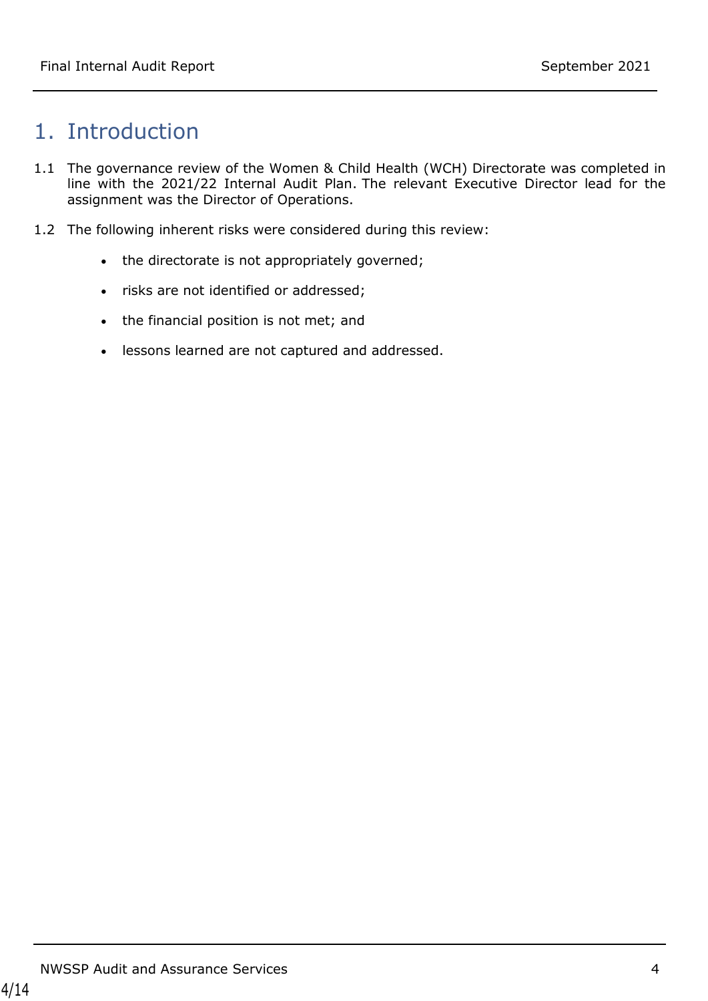### <span id="page-3-0"></span>1. Introduction

- 1.1 The governance review of the Women & Child Health (WCH) Directorate was completed in line with the 2021/22 Internal Audit Plan. The relevant Executive Director lead for the assignment was the Director of Operations.
- 1.2 The following inherent risks were considered during this review:
	- the directorate is not appropriately governed;
	- risks are not identified or addressed;
	- the financial position is not met; and
	- lessons learned are not captured and addressed.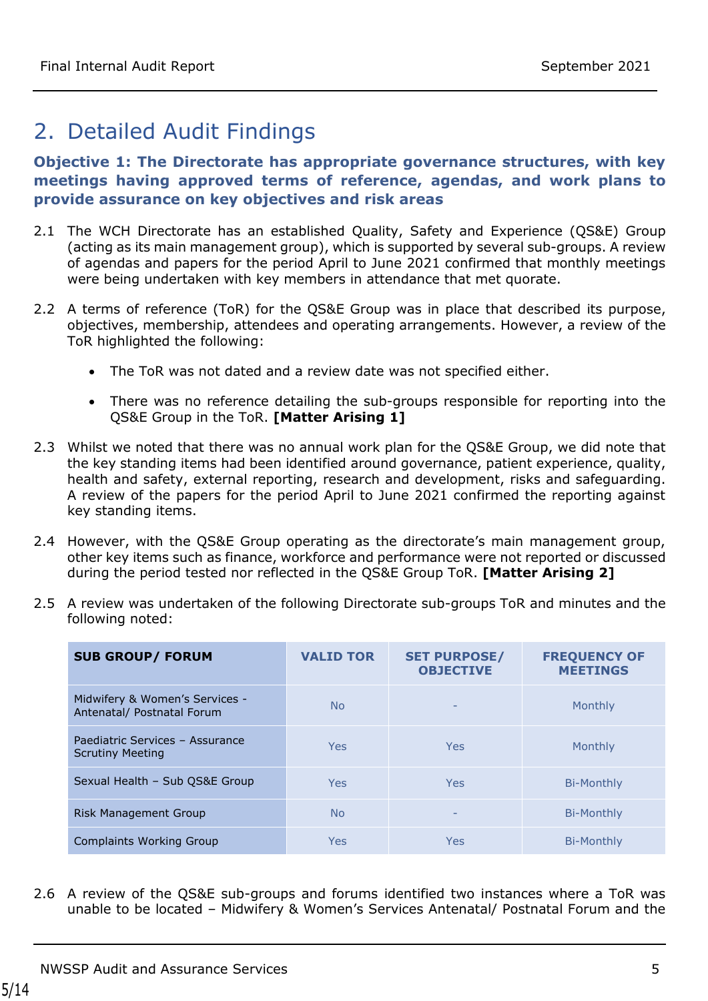### <span id="page-4-0"></span>2. Detailed Audit Findings

#### **Objective 1: The Directorate has appropriate governance structures, with key meetings having approved terms of reference, agendas, and work plans to provide assurance on key objectives and risk areas**

- 2.1 The WCH Directorate has an established Quality, Safety and Experience (QS&E) Group (acting as its main management group), which is supported by several sub-groups. A review of agendas and papers for the period April to June 2021 confirmed that monthly meetings were being undertaken with key members in attendance that met quorate.
- 2.2 A terms of reference (ToR) for the OS&E Group was in place that described its purpose, objectives, membership, attendees and operating arrangements. However, a review of the ToR highlighted the following:
	- The ToR was not dated and a review date was not specified either.
	- There was no reference detailing the sub-groups responsible for reporting into the QS&E Group in the ToR. **[Matter Arising 1]**
- 2.3 Whilst we noted that there was no annual work plan for the QS&E Group, we did note that the key standing items had been identified around governance, patient experience, quality, health and safety, external reporting, research and development, risks and safeguarding. A review of the papers for the period April to June 2021 confirmed the reporting against key standing items.
- 2.4 However, with the QS&E Group operating as the directorate's main management group, other key items such as finance, workforce and performance were not reported or discussed during the period tested nor reflected in the QS&E Group ToR. **[Matter Arising 2]**

| 2.5 A review was undertaken of the following Directorate sub-groups ToR and minutes and the |
|---------------------------------------------------------------------------------------------|
| following noted:                                                                            |

| <b>SUB GROUP/ FORUM</b>                                      | <b>VALID TOR</b> | <b>SET PURPOSE/</b><br><b>OBJECTIVE</b> | <b>FREQUENCY OF</b><br><b>MEETINGS</b> |
|--------------------------------------------------------------|------------------|-----------------------------------------|----------------------------------------|
| Midwifery & Women's Services -<br>Antenatal/ Postnatal Forum | N <sub>o</sub>   | $\qquad \qquad -$                       | Monthly                                |
| Paediatric Services - Assurance<br><b>Scrutiny Meeting</b>   | Yes              | Yes                                     | Monthly                                |
| Sexual Health - Sub OS&E Group                               | <b>Yes</b>       | Yes                                     | Bi-Monthly                             |
| Risk Management Group                                        | N <sub>o</sub>   |                                         | Bi-Monthly                             |
| <b>Complaints Working Group</b>                              | Yes              | Yes                                     | Bi-Monthly                             |

2.6 A review of the QS&E sub-groups and forums identified two instances where a ToR was unable to be located – Midwifery & Women's Services Antenatal/ Postnatal Forum and the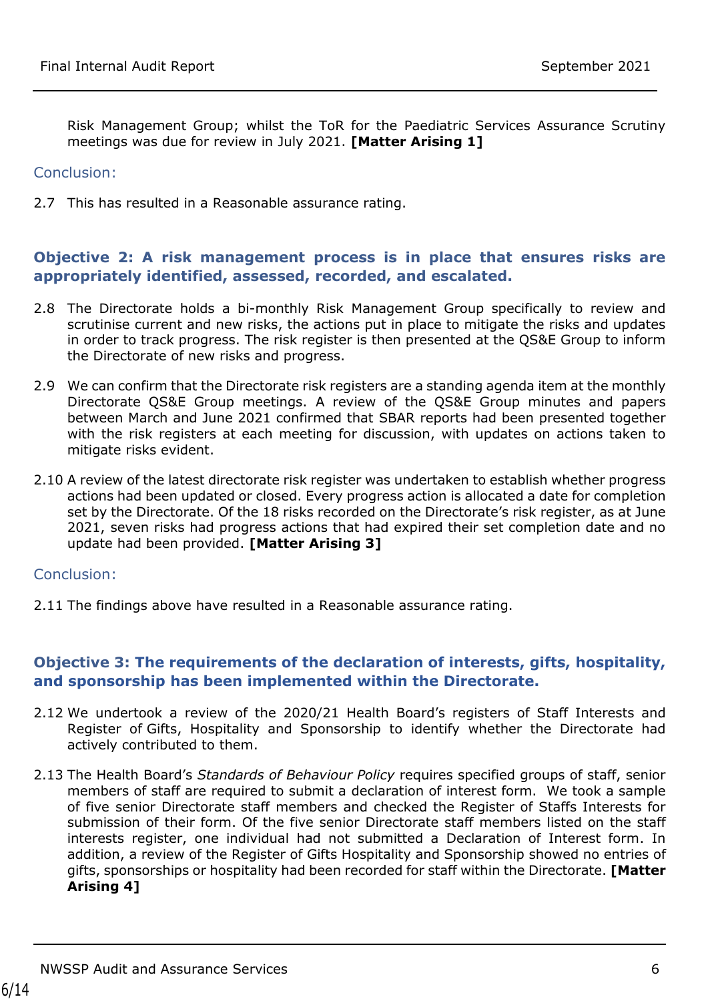Risk Management Group; whilst the ToR for the Paediatric Services Assurance Scrutiny meetings was due for review in July 2021. **[Matter Arising 1]**

#### Conclusion:

2.7 This has resulted in a Reasonable assurance rating.

#### **Objective 2: A risk management process is in place that ensures risks are appropriately identified, assessed, recorded, and escalated.**

- 2.8 The Directorate holds a bi-monthly Risk Management Group specifically to review and scrutinise current and new risks, the actions put in place to mitigate the risks and updates in order to track progress. The risk register is then presented at the QS&E Group to inform the Directorate of new risks and progress.
- 2.9 We can confirm that the Directorate risk registers are a standing agenda item at the monthly Directorate QS&E Group meetings. A review of the QS&E Group minutes and papers between March and June 2021 confirmed that SBAR reports had been presented together with the risk registers at each meeting for discussion, with updates on actions taken to mitigate risks evident.
- 2.10 A review of the latest directorate risk register was undertaken to establish whether progress actions had been updated or closed. Every progress action is allocated a date for completion set by the Directorate. Of the 18 risks recorded on the Directorate's risk register, as at June 2021, seven risks had progress actions that had expired their set completion date and no update had been provided. **[Matter Arising 3]**

#### Conclusion:

2.11 The findings above have resulted in a Reasonable assurance rating.

#### **Objective 3: The requirements of the declaration of interests, gifts, hospitality, and sponsorship has been implemented within the Directorate.**

- 2.12 We undertook a review of the 2020/21 Health Board's registers of Staff Interests and Register of Gifts, Hospitality and Sponsorship to identify whether the Directorate had actively contributed to them.
- 2.13 The Health Board's *Standards of Behaviour Policy* requires specified groups of staff, senior members of staff are required to submit a declaration of interest form. We took a sample of five senior Directorate staff members and checked the Register of Staffs Interests for submission of their form. Of the five senior Directorate staff members listed on the staff interests register, one individual had not submitted a Declaration of Interest form. In addition, a review of the Register of Gifts Hospitality and Sponsorship showed no entries of gifts, sponsorships or hospitality had been recorded for staff within the Directorate. **[Matter Arising 4]**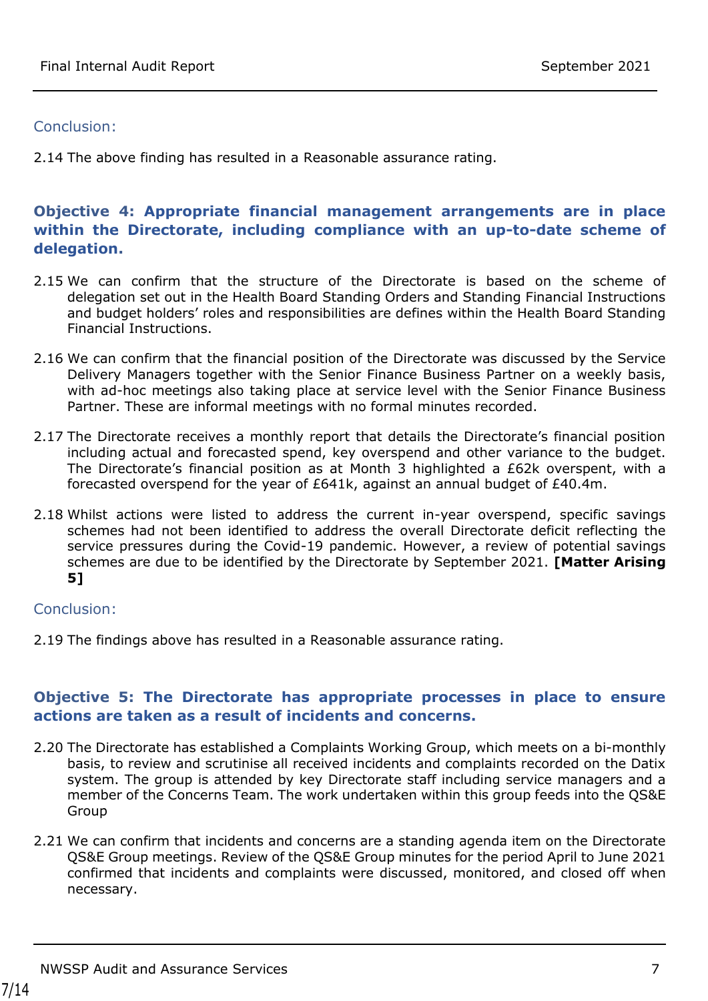#### Conclusion:

2.14 The above finding has resulted in a Reasonable assurance rating.

#### **Objective 4: Appropriate financial management arrangements are in place within the Directorate, including compliance with an up-to-date scheme of delegation.**

- 2.15 We can confirm that the structure of the Directorate is based on the scheme of delegation set out in the Health Board Standing Orders and Standing Financial Instructions and budget holders' roles and responsibilities are defines within the Health Board Standing Financial Instructions.
- 2.16 We can confirm that the financial position of the Directorate was discussed by the Service Delivery Managers together with the Senior Finance Business Partner on a weekly basis, with ad-hoc meetings also taking place at service level with the Senior Finance Business Partner. These are informal meetings with no formal minutes recorded.
- 2.17 The Directorate receives a monthly report that details the Directorate's financial position including actual and forecasted spend, key overspend and other variance to the budget. The Directorate's financial position as at Month 3 highlighted a £62k overspent, with a forecasted overspend for the year of £641k, against an annual budget of £40.4m.
- 2.18 Whilst actions were listed to address the current in-year overspend, specific savings schemes had not been identified to address the overall Directorate deficit reflecting the service pressures during the Covid-19 pandemic. However, a review of potential savings schemes are due to be identified by the Directorate by September 2021. **[Matter Arising 5]**

#### Conclusion:

2.19 The findings above has resulted in a Reasonable assurance rating.

#### **Objective 5: The Directorate has appropriate processes in place to ensure actions are taken as a result of incidents and concerns.**

- 2.20 The Directorate has established a Complaints Working Group, which meets on a bi-monthly basis, to review and scrutinise all received incidents and complaints recorded on the Datix system. The group is attended by key Directorate staff including service managers and a member of the Concerns Team. The work undertaken within this group feeds into the QS&E Group
- 2.21 We can confirm that incidents and concerns are a standing agenda item on the Directorate QS&E Group meetings. Review of the QS&E Group minutes for the period April to June 2021 confirmed that incidents and complaints were discussed, monitored, and closed off when necessary.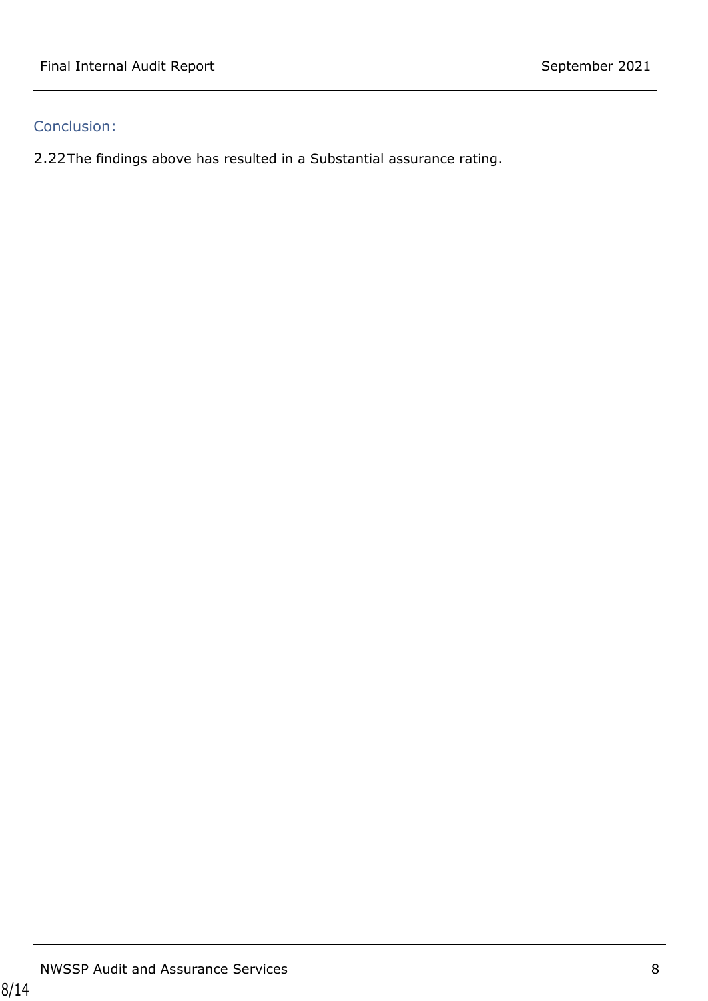### Conclusion:

2.22The findings above has resulted in a Substantial assurance rating.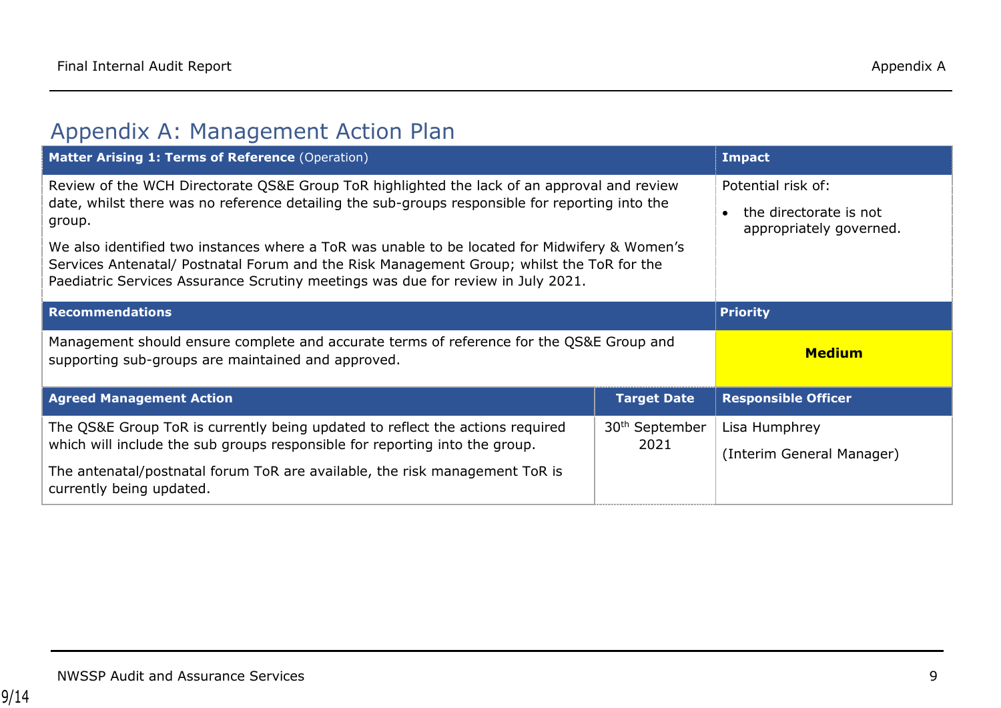### Appendix A: Management Action Plan

<span id="page-8-0"></span>

| Matter Arising 1: Terms of Reference (Operation)                                                                                                                                                                                                                                                                                                                                                                                                                                           |                                    | <b>Impact</b>                                                           |
|--------------------------------------------------------------------------------------------------------------------------------------------------------------------------------------------------------------------------------------------------------------------------------------------------------------------------------------------------------------------------------------------------------------------------------------------------------------------------------------------|------------------------------------|-------------------------------------------------------------------------|
| Review of the WCH Directorate QS&E Group ToR highlighted the lack of an approval and review<br>date, whilst there was no reference detailing the sub-groups responsible for reporting into the<br>group.<br>We also identified two instances where a ToR was unable to be located for Midwifery & Women's<br>Services Antenatal/ Postnatal Forum and the Risk Management Group; whilst the ToR for the<br>Paediatric Services Assurance Scrutiny meetings was due for review in July 2021. |                                    | Potential risk of:<br>the directorate is not<br>appropriately governed. |
| <b>Recommendations</b>                                                                                                                                                                                                                                                                                                                                                                                                                                                                     |                                    | <b>Priority</b>                                                         |
| Management should ensure complete and accurate terms of reference for the QS&E Group and<br>supporting sub-groups are maintained and approved.                                                                                                                                                                                                                                                                                                                                             | <b>Medium</b>                      |                                                                         |
| <b>Agreed Management Action</b>                                                                                                                                                                                                                                                                                                                                                                                                                                                            | <b>Target Date</b>                 | <b>Responsible Officer</b>                                              |
| The QS&E Group ToR is currently being updated to reflect the actions required<br>which will include the sub groups responsible for reporting into the group.                                                                                                                                                                                                                                                                                                                               | 30 <sup>th</sup> September<br>2021 | Lisa Humphrey                                                           |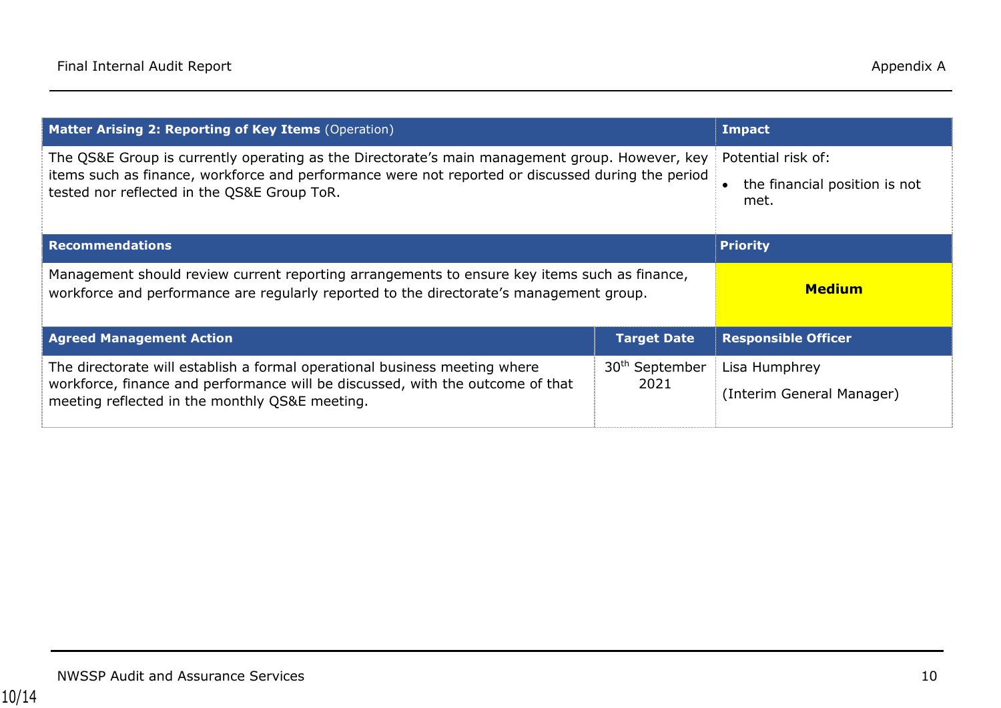| <b>Matter Arising 2: Reporting of Key Items (Operation)</b>                                                                                                                                                                                        |                                    | <b>Impact</b>                                               |
|----------------------------------------------------------------------------------------------------------------------------------------------------------------------------------------------------------------------------------------------------|------------------------------------|-------------------------------------------------------------|
| The QS&E Group is currently operating as the Directorate's main management group. However, key<br>items such as finance, workforce and performance were not reported or discussed during the period<br>tested nor reflected in the QS&E Group ToR. |                                    | Potential risk of:<br>the financial position is not<br>met. |
| <b>Recommendations</b>                                                                                                                                                                                                                             |                                    | <b>Priority</b>                                             |
| Management should review current reporting arrangements to ensure key items such as finance,<br>workforce and performance are regularly reported to the directorate's management group.                                                            | <b>Medium</b>                      |                                                             |
| <b>Agreed Management Action</b>                                                                                                                                                                                                                    | <b>Target Date</b>                 | <b>Responsible Officer</b>                                  |
| The directorate will establish a formal operational business meeting where<br>workforce, finance and performance will be discussed, with the outcome of that<br>meeting reflected in the monthly QS&E meeting.                                     | 30 <sup>th</sup> September<br>2021 | Lisa Humphrey<br>(Interim General Manager)                  |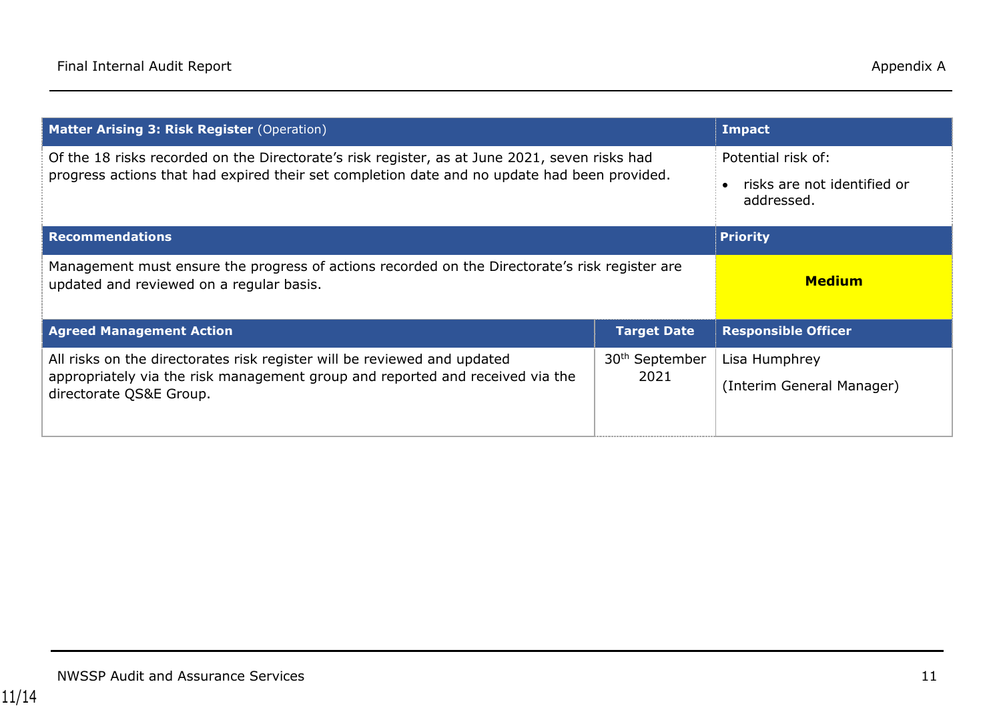| Matter Arising 3: Risk Register (Operation)                                                                                                                                                   |                                    | <b>Impact</b>                                                   |
|-----------------------------------------------------------------------------------------------------------------------------------------------------------------------------------------------|------------------------------------|-----------------------------------------------------------------|
| Of the 18 risks recorded on the Directorate's risk register, as at June 2021, seven risks had<br>progress actions that had expired their set completion date and no update had been provided. |                                    | Potential risk of:<br>risks are not identified or<br>addressed. |
| <b>Recommendations</b>                                                                                                                                                                        | <b>Priority</b>                    |                                                                 |
| Management must ensure the progress of actions recorded on the Directorate's risk register are<br>updated and reviewed on a regular basis.                                                    |                                    | <b>Medium</b>                                                   |
| <b>Agreed Management Action</b>                                                                                                                                                               | <b>Target Date</b>                 | <b>Responsible Officer</b>                                      |
| All risks on the directorates risk register will be reviewed and updated<br>appropriately via the risk management group and reported and received via the                                     | 30 <sup>th</sup> September<br>2021 | Lisa Humphrey<br>(Interim General Manager)                      |
| directorate QS&E Group.                                                                                                                                                                       |                                    |                                                                 |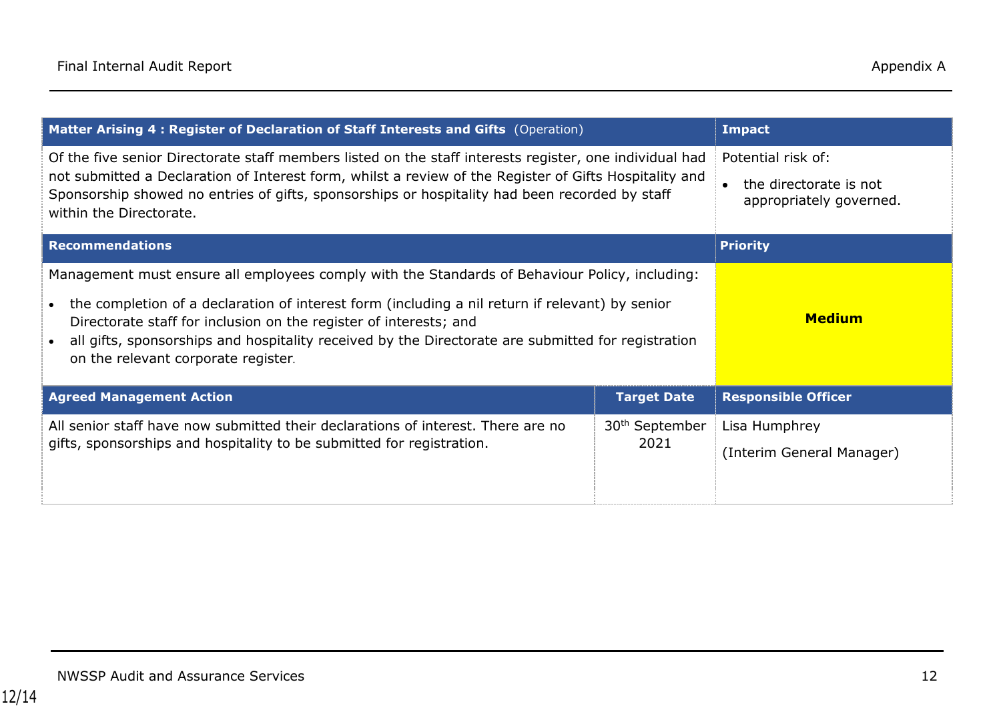| Matter Arising 4 : Register of Declaration of Staff Interests and Gifts (Operation)                                                                                                                                                                                                                                                                                                                                 |                                    | <b>Impact</b>                                                           |
|---------------------------------------------------------------------------------------------------------------------------------------------------------------------------------------------------------------------------------------------------------------------------------------------------------------------------------------------------------------------------------------------------------------------|------------------------------------|-------------------------------------------------------------------------|
| Of the five senior Directorate staff members listed on the staff interests register, one individual had<br>not submitted a Declaration of Interest form, whilst a review of the Register of Gifts Hospitality and<br>Sponsorship showed no entries of gifts, sponsorships or hospitality had been recorded by staff<br>within the Directorate.                                                                      |                                    | Potential risk of:<br>the directorate is not<br>appropriately governed. |
| <b>Recommendations</b>                                                                                                                                                                                                                                                                                                                                                                                              | <b>Priority</b>                    |                                                                         |
| Management must ensure all employees comply with the Standards of Behaviour Policy, including:<br>the completion of a declaration of interest form (including a nil return if relevant) by senior<br>Directorate staff for inclusion on the register of interests; and<br>all gifts, sponsorships and hospitality received by the Directorate are submitted for registration<br>on the relevant corporate register. | <b>Medium</b>                      |                                                                         |
| <b>Agreed Management Action</b>                                                                                                                                                                                                                                                                                                                                                                                     | <b>Target Date</b>                 | <b>Responsible Officer</b>                                              |
| All senior staff have now submitted their declarations of interest. There are no<br>gifts, sponsorships and hospitality to be submitted for registration.                                                                                                                                                                                                                                                           | 30 <sup>th</sup> September<br>2021 | Lisa Humphrey<br>(Interim General Manager)                              |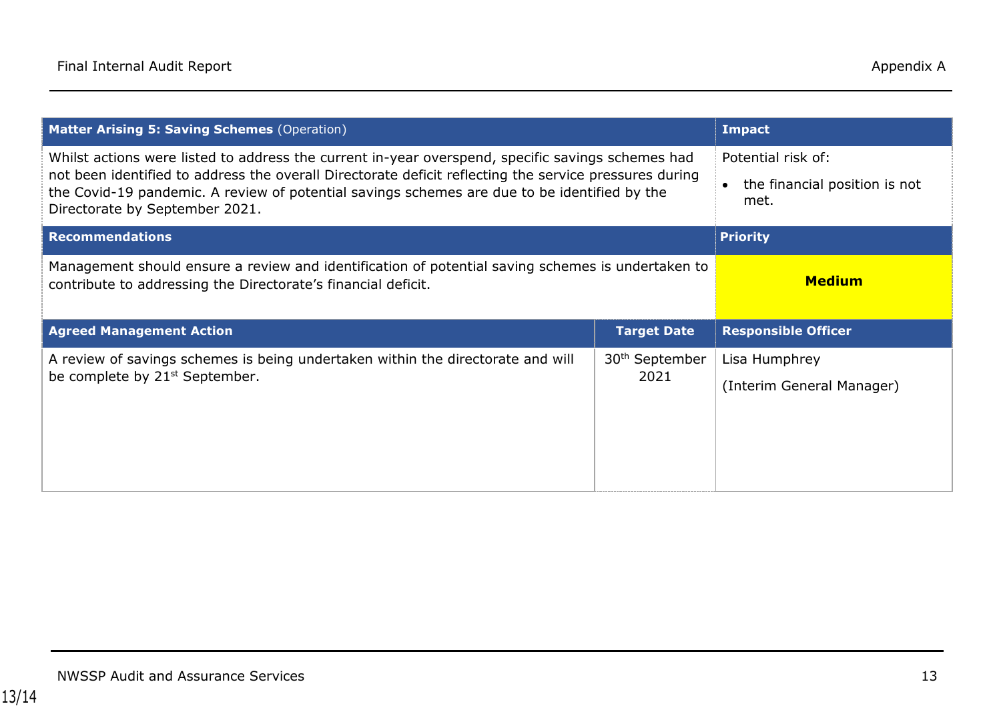| <b>Matter Arising 5: Saving Schemes (Operation)</b>                                                                                                                                                                                                                                                                                           |                                                             | <b>Impact</b>                              |
|-----------------------------------------------------------------------------------------------------------------------------------------------------------------------------------------------------------------------------------------------------------------------------------------------------------------------------------------------|-------------------------------------------------------------|--------------------------------------------|
| Whilst actions were listed to address the current in-year overspend, specific savings schemes had<br>not been identified to address the overall Directorate deficit reflecting the service pressures during<br>the Covid-19 pandemic. A review of potential savings schemes are due to be identified by the<br>Directorate by September 2021. | Potential risk of:<br>the financial position is not<br>met. |                                            |
| <b>Recommendations</b>                                                                                                                                                                                                                                                                                                                        | <b>Priority</b>                                             |                                            |
| Management should ensure a review and identification of potential saving schemes is undertaken to<br>contribute to addressing the Directorate's financial deficit.                                                                                                                                                                            | <b>Medium</b>                                               |                                            |
| <b>Agreed Management Action</b>                                                                                                                                                                                                                                                                                                               | <b>Target Date</b>                                          | <b>Responsible Officer</b>                 |
| A review of savings schemes is being undertaken within the directorate and will<br>be complete by 21 <sup>st</sup> September.                                                                                                                                                                                                                 | 30 <sup>th</sup> September<br>2021                          | Lisa Humphrey<br>(Interim General Manager) |